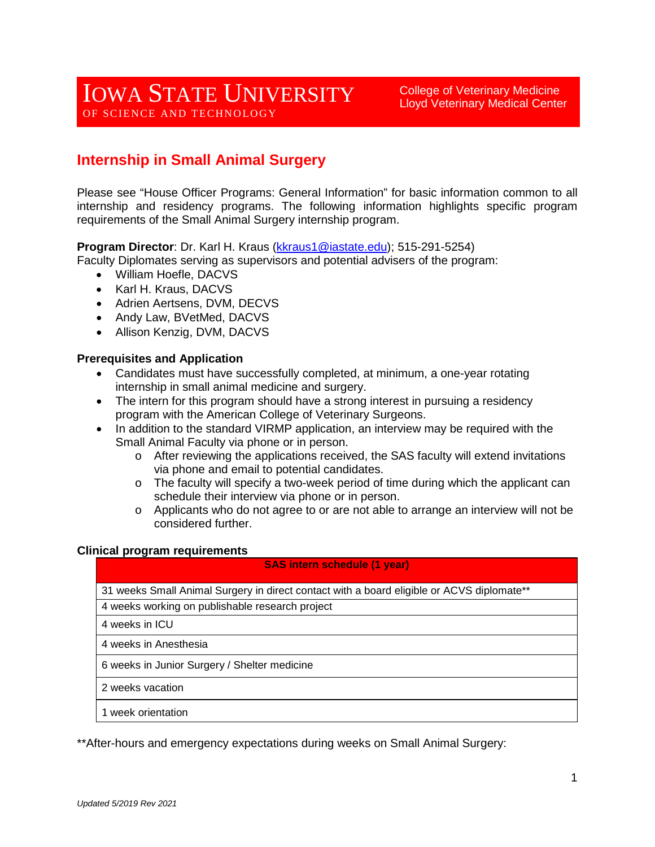College of Veterinary Medicine Lloyd Veterinary Medical Center

# **Internship in Small Animal Surgery**

Please see "House Officer Programs: General Information" for basic information common to all internship and residency programs. The following information highlights specific program requirements of the Small Animal Surgery internship program.

**Program Director**: Dr. Karl H. Kraus [\(kkraus1@iastate.edu\)](mailto:kkraus1@iastate.edu); 515-291-5254)

- Faculty Diplomates serving as supervisors and potential advisers of the program:
	- William Hoefle, DACVS
	- Karl H. Kraus, DACVS
	- Adrien Aertsens, DVM, DECVS
	- Andy Law, BVetMed, DACVS
	- Allison Kenzig, DVM, DACVS

#### **Prerequisites and Application**

- Candidates must have successfully completed, at minimum, a one-year rotating internship in small animal medicine and surgery.
- The intern for this program should have a strong interest in pursuing a residency program with the American College of Veterinary Surgeons.
- In addition to the standard VIRMP application, an interview may be required with the Small Animal Faculty via phone or in person.
	- o After reviewing the applications received, the SAS faculty will extend invitations via phone and email to potential candidates.
	- $\circ$  The faculty will specify a two-week period of time during which the applicant can schedule their interview via phone or in person.
	- $\circ$  Applicants who do not agree to or are not able to arrange an interview will not be considered further.

#### **Clinical program requirements**

#### **SAS intern schedule (1 year)**

31 weeks Small Animal Surgery in direct contact with a board eligible or ACVS diplomate\*\*

4 weeks working on publishable research project

4 weeks in ICU

4 weeks in Anesthesia

6 weeks in Junior Surgery / Shelter medicine

2 weeks vacation

1 week orientation

\*\*After-hours and emergency expectations during weeks on Small Animal Surgery: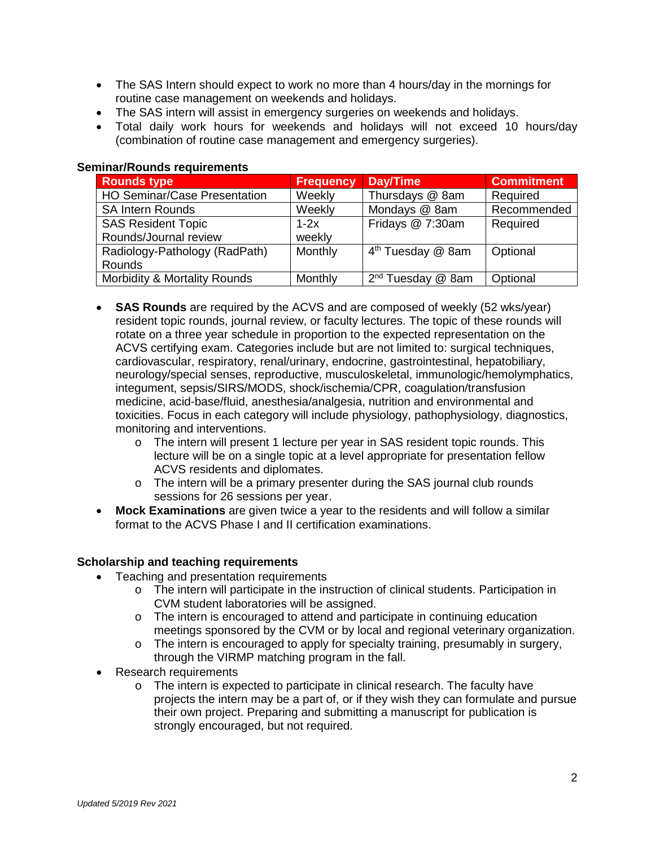- The SAS Intern should expect to work no more than 4 hours/day in the mornings for routine case management on weekends and holidays.
- The SAS intern will assist in emergency surgeries on weekends and holidays.
- Total daily work hours for weekends and holidays will not exceed 10 hours/day (combination of routine case management and emergency surgeries).

| <b>Rounds type</b>                  | <b>Frequency</b> | Day/Time                      | <b>Commitment</b> |  |  |  |  |  |  |
|-------------------------------------|------------------|-------------------------------|-------------------|--|--|--|--|--|--|
| <b>HO Seminar/Case Presentation</b> | Weekly           | Thursdays @ 8am               | Required          |  |  |  |  |  |  |
| <b>SA Intern Rounds</b>             | Weekly           | Mondays @ 8am                 | Recommended       |  |  |  |  |  |  |
| <b>SAS Resident Topic</b>           | $1-2x$           | Fridays @ 7:30am              | Required          |  |  |  |  |  |  |
| Rounds/Journal review               | weekly           |                               |                   |  |  |  |  |  |  |
| Radiology-Pathology (RadPath)       | Monthly          | 4 <sup>th</sup> Tuesday @ 8am | Optional          |  |  |  |  |  |  |
| Rounds                              |                  |                               |                   |  |  |  |  |  |  |
| Morbidity & Mortality Rounds        | Monthly          | 2 <sup>nd</sup> Tuesday @ Sam | Optional          |  |  |  |  |  |  |

### **Seminar/Rounds requirements**

- **SAS Rounds** are required by the ACVS and are composed of weekly (52 wks/year) resident topic rounds, journal review, or faculty lectures. The topic of these rounds will rotate on a three year schedule in proportion to the expected representation on the ACVS certifying exam. Categories include but are not limited to: surgical techniques, cardiovascular, respiratory, renal/urinary, endocrine, gastrointestinal, hepatobiliary, neurology/special senses, reproductive, musculoskeletal, immunologic/hemolymphatics, integument, sepsis/SIRS/MODS, shock/ischemia/CPR, coagulation/transfusion medicine, acid-base/fluid, anesthesia/analgesia, nutrition and environmental and toxicities. Focus in each category will include physiology, pathophysiology, diagnostics, monitoring and interventions.
	- o The intern will present 1 lecture per year in SAS resident topic rounds. This lecture will be on a single topic at a level appropriate for presentation fellow ACVS residents and diplomates.
	- o The intern will be a primary presenter during the SAS journal club rounds sessions for 26 sessions per year.
- **Mock Examinations** are given twice a year to the residents and will follow a similar format to the ACVS Phase I and II certification examinations.

# **Scholarship and teaching requirements**

- Teaching and presentation requirements
	- o The intern will participate in the instruction of clinical students. Participation in CVM student laboratories will be assigned.
	- o The intern is encouraged to attend and participate in continuing education meetings sponsored by the CVM or by local and regional veterinary organization.
	- $\circ$  The intern is encouraged to apply for specialty training, presumably in surgery, through the VIRMP matching program in the fall.
- Research requirements
	- o The intern is expected to participate in clinical research. The faculty have projects the intern may be a part of, or if they wish they can formulate and pursue their own project. Preparing and submitting a manuscript for publication is strongly encouraged, but not required.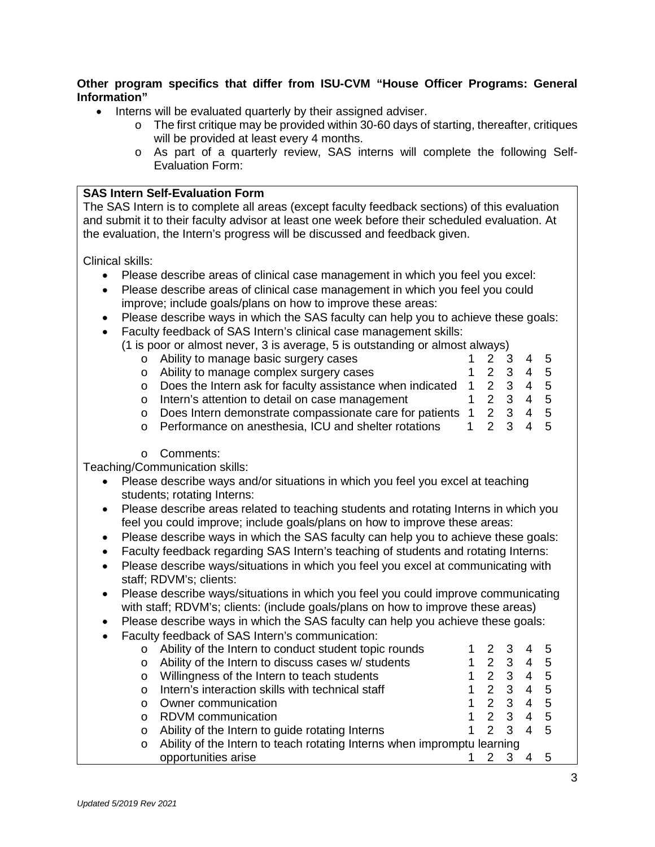# **Other program specifics that differ from ISU-CVM "House Officer Programs: General Information"**

- Interns will be evaluated quarterly by their assigned adviser.
	- $\circ$  The first critique may be provided within 30-60 days of starting, thereafter, critiques will be provided at least every 4 months.
	- o As part of a quarterly review, SAS interns will complete the following Self-Evaluation Form:

#### **SAS Intern Self-Evaluation Form**

The SAS Intern is to complete all areas (except faculty feedback sections) of this evaluation and submit it to their faculty advisor at least one week before their scheduled evaluation. At the evaluation, the Intern's progress will be discussed and feedback given.

Clinical skills:

- Please describe areas of clinical case management in which you feel you excel:
- Please describe areas of clinical case management in which you feel you could improve; include goals/plans on how to improve these areas:
- Please describe ways in which the SAS faculty can help you to achieve these goals:
- Faculty feedback of SAS Intern's clinical case management skills:
	- (1 is poor or almost never, 3 is average, 5 is outstanding or almost always)<br>  $\circ$  Ability to manage basic surgery cases 6. 1 2 3 4 5
		- o Ability to manage basic surgery cases 1 2 3 4 5<br>
		o Ability to manage complex surgery cases 1 2 3 4 5 o Ability to manage complex surgery cases o Does the Intern ask for faculty assistance when indicated  $1 \quad 2 \quad 3 \quad 4 \quad 5$ <br>o Intern's attention to detail on case management  $1 \quad 2 \quad 3 \quad 4 \quad 5$ o Intern's attention to detail on case management o Does Intern demonstrate compassionate care for patients 1 2 3 4 5<br>
		o Performance on anesthesia, ICU and shelter rotations 1 2 3 4 5 o Performance on anesthesia, ICU and shelter rotations
		- o Comments:

Teaching/Communication skills:

- Please describe ways and/or situations in which you feel you excel at teaching students; rotating Interns:
- Please describe areas related to teaching students and rotating Interns in which you feel you could improve; include goals/plans on how to improve these areas:
- Please describe ways in which the SAS faculty can help you to achieve these goals:
- Faculty feedback regarding SAS Intern's teaching of students and rotating Interns:
- Please describe ways/situations in which you feel you excel at communicating with staff; RDVM's; clients:
- Please describe ways/situations in which you feel you could improve communicating with staff; RDVM's; clients: (include goals/plans on how to improve these areas)
- Please describe ways in which the SAS faculty can help you achieve these goals:
- Faculty feedback of SAS Intern's communication:

| $\circ$                                                                            | Ability of the Intern to conduct student topic rounds |  |                |  |   | 5  |  |
|------------------------------------------------------------------------------------|-------------------------------------------------------|--|----------------|--|---|----|--|
| $\circ$                                                                            | Ability of the Intern to discuss cases w/ students    |  |                |  | 4 | -5 |  |
| $\circ$                                                                            | Willingness of the Intern to teach students           |  |                |  | 4 | -5 |  |
| $\Omega$                                                                           | Intern's interaction skills with technical staff      |  |                |  |   | -5 |  |
|                                                                                    | Owner communication                                   |  | $\mathcal{P}$  |  |   | -5 |  |
|                                                                                    | <b>RDVM</b> communication                             |  | $1 \t2 \t3$    |  |   | -5 |  |
| $\circ$                                                                            | Ability of the Intern to guide rotating Interns       |  | $\overline{2}$ |  |   | -5 |  |
| Ability of the Intern to teach rotating Interns when impromptu learning<br>$\circ$ |                                                       |  |                |  |   |    |  |
|                                                                                    | opportunities arise                                   |  |                |  |   |    |  |